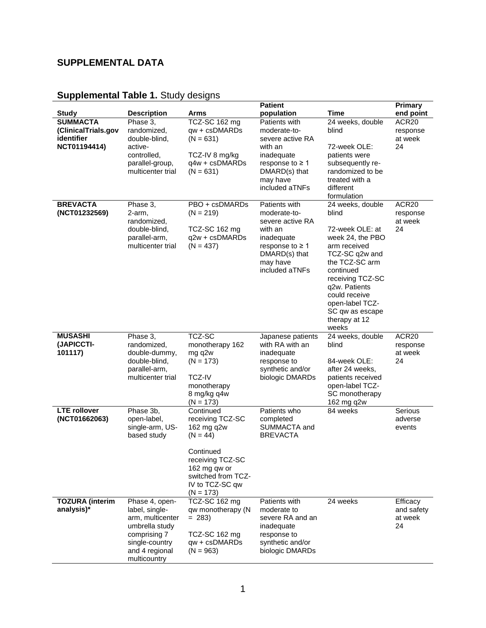## **SUPPLEMENTAL DATA**

## **Supplemental Table 1.** Study designs

|                                                                      |                                                                                                                                            |                                                                                                                                                                    | <b>Patient</b>                                                                                                                                    |                                                                                                                                                                                                                                                                        | <b>Primary</b>                          |
|----------------------------------------------------------------------|--------------------------------------------------------------------------------------------------------------------------------------------|--------------------------------------------------------------------------------------------------------------------------------------------------------------------|---------------------------------------------------------------------------------------------------------------------------------------------------|------------------------------------------------------------------------------------------------------------------------------------------------------------------------------------------------------------------------------------------------------------------------|-----------------------------------------|
| <b>Study</b>                                                         | <b>Description</b>                                                                                                                         | Arms                                                                                                                                                               | population                                                                                                                                        | <b>Time</b>                                                                                                                                                                                                                                                            | end point                               |
| <b>SUMMACTA</b><br>(ClinicalTrials.gov<br>identifier<br>NCT01194414) | Phase 3,<br>randomized,<br>double-blind,<br>active-<br>controlled,<br>parallel-group,<br>multicenter trial                                 | TCZ-SC 162 mg<br>qw + csDMARDs<br>$(N = 631)$<br>TCZ-IV 8 mg/kg<br>q4w + csDMARDs<br>$(N = 631)$                                                                   | Patients with<br>moderate-to-<br>severe active RA<br>with an<br>inadequate<br>response to $\geq 1$<br>DMARD(s) that<br>may have<br>included aTNFs | 24 weeks, double<br>blind<br>72-week OLE:<br>patients were<br>subsequently re-<br>randomized to be<br>treated with a<br>different                                                                                                                                      | ACR20<br>response<br>at week<br>24      |
| <b>BREVACTA</b><br>(NCT01232569)                                     | Phase 3,<br>2-arm,<br>randomized,<br>double-blind,<br>parallel-arm,<br>multicenter trial                                                   | PBO + csDMARDs<br>$(N = 219)$<br>TCZ-SC 162 mg<br>q2w + csDMARDs<br>$(N = 437)$                                                                                    | Patients with<br>moderate-to-<br>severe active RA<br>with an<br>inadequate<br>response to $\geq 1$<br>DMARD(s) that<br>may have<br>included aTNFs | formulation<br>24 weeks, double<br>blind<br>72-week OLE: at<br>week 24, the PBO<br>arm received<br>TCZ-SC q2w and<br>the TCZ-SC arm<br>continued<br>receiving TCZ-SC<br>q2w. Patients<br>could receive<br>open-label TCZ-<br>SC qw as escape<br>therapy at 12<br>weeks | ACR20<br>response<br>at week<br>24      |
| <b>MUSASHI</b><br>(JAPICCTI-<br>101117)                              | Phase 3,<br>randomized,<br>double-dummy,<br>double-blind,<br>parallel-arm,<br>multicenter trial                                            | TCZ-SC<br>monotherapy 162<br>mg q2w<br>$(N = 173)$<br><b>TCZ-IV</b><br>monotherapy<br>8 mg/kg q4w<br>$(N = 173)$                                                   | Japanese patients<br>with RA with an<br>inadequate<br>response to<br>synthetic and/or<br>biologic DMARDs                                          | 24 weeks, double<br>blind<br>84-week OLE:<br>after 24 weeks,<br>patients received<br>open-label TCZ-<br>SC monotherapy<br>162 mg q2w                                                                                                                                   | ACR20<br>response<br>at week<br>24      |
| <b>LTE</b> rollover<br>(NCT01662063)                                 | Phase 3b,<br>open-label,<br>single-arm, US-<br>based study                                                                                 | Continued<br>receiving TCZ-SC<br>162 mg q2w<br>$(N = 44)$<br>Continued<br>receiving TCZ-SC<br>162 mg qw or<br>switched from TCZ-<br>IV to TCZ-SC qw<br>$(N = 173)$ | Patients who<br>completed<br>SUMMACTA and<br><b>BREVACTA</b>                                                                                      | 84 weeks                                                                                                                                                                                                                                                               | Serious<br>adverse<br>events            |
| <b>TOZURA</b> (interim<br>analysis)*                                 | Phase 4, open-<br>label, single-<br>arm, multicenter<br>umbrella study<br>comprising 7<br>single-country<br>and 4 regional<br>multicountry | TCZ-SC 162 mg<br>qw monotherapy (N<br>$= 283$<br>TCZ-SC 162 mg<br>qw + csDMARDs<br>$(N = 963)$                                                                     | Patients with<br>moderate to<br>severe RA and an<br>inadequate<br>response to<br>synthetic and/or<br>biologic DMARDs                              | 24 weeks                                                                                                                                                                                                                                                               | Efficacy<br>and safety<br>at week<br>24 |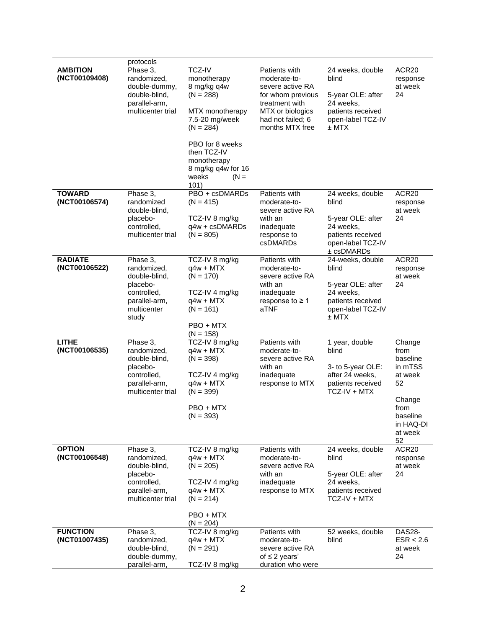|                                  | protocols                                                                                                    |                                                                                                                                                                                                                  |                                                                                                                                                      |                                                                                                                             |                                                                                                                    |
|----------------------------------|--------------------------------------------------------------------------------------------------------------|------------------------------------------------------------------------------------------------------------------------------------------------------------------------------------------------------------------|------------------------------------------------------------------------------------------------------------------------------------------------------|-----------------------------------------------------------------------------------------------------------------------------|--------------------------------------------------------------------------------------------------------------------|
| <b>AMBITION</b><br>(NCT00109408) | Phase 3.<br>randomized,<br>double-dummy,<br>double-blind,<br>parallel-arm,<br>multicenter trial              | <b>TCZ-IV</b><br>monotherapy<br>8 mg/kg q4w<br>$(N = 288)$<br>MTX monotherapy<br>7.5-20 mg/week<br>$(N = 284)$<br>PBO for 8 weeks<br>then TCZ-IV<br>monotherapy<br>8 mg/kg q4w for 16<br>$(N =$<br>weeks<br>101) | Patients with<br>moderate-to-<br>severe active RA<br>for whom previous<br>treatment with<br>MTX or biologics<br>had not failed; 6<br>months MTX free | 24 weeks, double<br>blind<br>5-year OLE: after<br>24 weeks,<br>patients received<br>open-label TCZ-IV<br>$±$ MTX            | ACR20<br>response<br>at week<br>24                                                                                 |
| <b>TOWARD</b><br>(NCT00106574)   | Phase 3,<br>randomized<br>double-blind,<br>placebo-<br>controlled,<br>multicenter trial                      | PBO + csDMARDs<br>$(N = 415)$<br>TCZ-IV 8 mg/kg<br>q4w + csDMARDs<br>$(N = 805)$                                                                                                                                 | Patients with<br>moderate-to-<br>severe active RA<br>with an<br>inadequate<br>response to<br>csDMARDs                                                | 24 weeks, double<br>blind<br>5-year OLE: after<br>24 weeks,<br>patients received<br>open-label TCZ-IV<br>$±$ $c$ s $DMARDs$ | ACR20<br>response<br>at week<br>24                                                                                 |
| <b>RADIATE</b><br>(NCT00106522)  | Phase 3,<br>randomized,<br>double-blind,<br>placebo-<br>controlled,<br>parallel-arm,<br>multicenter<br>study | TCZ-IV 8 mg/kg<br>$q4w + MTX$<br>$(N = 170)$<br>TCZ-IV 4 mg/kg<br>$q4w + MTX$<br>$(N = 161)$<br>PBO + MTX<br>$(N = 158)$                                                                                         | Patients with<br>moderate-to-<br>severe active RA<br>with an<br>inadequate<br>response to $\geq 1$<br>aTNF                                           | 24-weeks, double<br>blind<br>5-year OLE: after<br>24 weeks,<br>patients received<br>open-label TCZ-IV<br>± MTX              | ACR20<br>response<br>at week<br>24                                                                                 |
| <b>LITHE</b><br>(NCT00106535)    | Phase 3,<br>randomized,<br>double-blind,<br>placebo-<br>controlled,<br>parallel-arm,<br>multicenter trial    | TCZ-IV 8 mg/kg<br>$q4w + MTX$<br>$(N = 398)$<br>TCZ-IV 4 mg/kg<br>$q4w + MTX$<br>$(N = 399)$<br>PBO + MTX<br>$(N = 393)$                                                                                         | Patients with<br>moderate-to-<br>severe active RA<br>with an<br>inadequate<br>response to MTX                                                        | 1 year, double<br>blind<br>3- to 5-year OLE:<br>after 24 weeks,<br>patients received<br>$TCZ-IV + MTX$                      | Change<br>from<br>baseline<br>in mTSS<br>at week<br>52<br>Change<br>from<br>baseline<br>in HAQ-DI<br>at week<br>52 |
| <b>OPTION</b><br>(NCT00106548)   | Phase 3,<br>randomized,<br>double-blind,<br>placebo-<br>controlled,<br>parallel-arm,<br>multicenter trial    | TCZ-IV 8 mg/kg<br>$q4w + MTX$<br>$(N = 205)$<br>TCZ-IV 4 mg/kg<br>$q4w + MTX$<br>$(N = 214)$<br>PBO + MTX<br>$(N = 204)$                                                                                         | Patients with<br>moderate-to-<br>severe active RA<br>with an<br>inadequate<br>response to MTX                                                        | 24 weeks, double<br>blind<br>5-year OLE: after<br>24 weeks,<br>patients received<br>TCZ-IV + MTX                            | ACR20<br>response<br>at week<br>24                                                                                 |
| <b>FUNCTION</b><br>(NCT01007435) | Phase 3,<br>randomized,<br>double-blind,<br>double-dummy,<br>parallel-arm,                                   | TCZ-IV 8 mg/kg<br>$q4w + MTX$<br>$(N = 291)$<br>TCZ-IV 8 mg/kg                                                                                                                                                   | Patients with<br>moderate-to-<br>severe active RA<br>of $\leq$ 2 years'<br>duration who were                                                         | 52 weeks, double<br>blind                                                                                                   | <b>DAS28-</b><br>ESR < 2.6<br>at week<br>24                                                                        |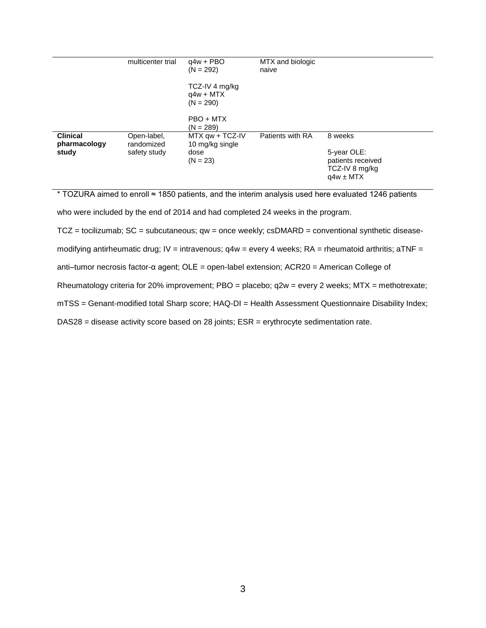|                                 | multicenter trial         | $q4w + PBO$<br>$(N = 292)$                   | MTX and biologic<br>naive |                                                                     |
|---------------------------------|---------------------------|----------------------------------------------|---------------------------|---------------------------------------------------------------------|
|                                 |                           | TCZ-IV 4 mg/kg<br>$q4w + MTX$<br>$(N = 290)$ |                           |                                                                     |
|                                 |                           | PBO + MTX<br>$(N = 289)$                     |                           |                                                                     |
| <b>Clinical</b><br>pharmacology | Open-label,<br>randomized | $MTX$ qw + TCZ-IV<br>10 mg/kg single         | Patients with RA          | 8 weeks                                                             |
| study                           | safety study              | dose<br>$(N = 23)$                           |                           | 5-year OLE:<br>patients received<br>TCZ-IV 8 mg/kg<br>$q4w \pm MTX$ |
|                                 |                           |                                              |                           |                                                                     |

\* TOZURA aimed to enroll ≈ 1850 patients, and the interim analysis used here evaluated 1246 patients

who were included by the end of 2014 and had completed 24 weeks in the program.

TCZ = tocilizumab; SC = subcutaneous; qw = once weekly; csDMARD = conventional synthetic disease-

modifying antirheumatic drug; IV = intravenous;  $q4w =$  every 4 weeks; RA = rheumatoid arthritis; aTNF =

anti–tumor necrosis factor-α agent; OLE = open-label extension; ACR20 = American College of

Rheumatology criteria for 20% improvement; PBO = placebo; q2w = every 2 weeks; MTX = methotrexate;

mTSS = Genant-modified total Sharp score; HAQ-DI = Health Assessment Questionnaire Disability Index;

DAS28 = disease activity score based on 28 joints; ESR = erythrocyte sedimentation rate.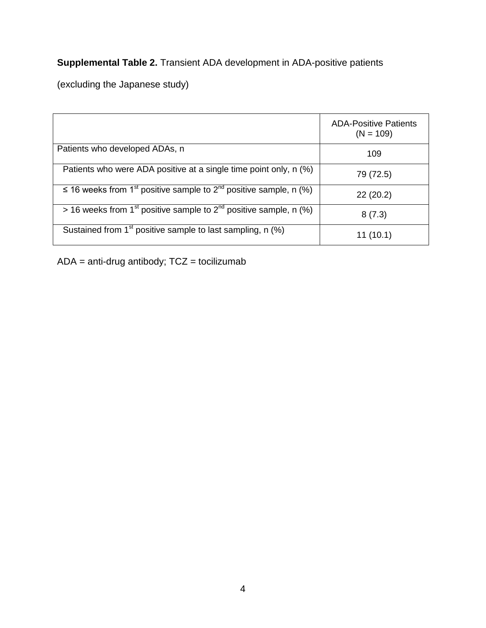## **Supplemental Table 2.** Transient ADA development in ADA-positive patients

(excluding the Japanese study)

|                                                                                                | <b>ADA-Positive Patients</b><br>$(N = 109)$ |
|------------------------------------------------------------------------------------------------|---------------------------------------------|
| Patients who developed ADAs, n                                                                 | 109                                         |
| Patients who were ADA positive at a single time point only, n (%)                              | 79 (72.5)                                   |
| $\leq$ 16 weeks from 1 <sup>st</sup> positive sample to 2 <sup>nd</sup> positive sample, n (%) | 22(20.2)                                    |
| $>$ 16 weeks from 1 <sup>st</sup> positive sample to 2 <sup>nd</sup> positive sample, n (%)    | 8(7.3)                                      |
| Sustained from 1 <sup>st</sup> positive sample to last sampling, n (%)                         | 11 (10.1)                                   |

ADA = anti-drug antibody; TCZ = tocilizumab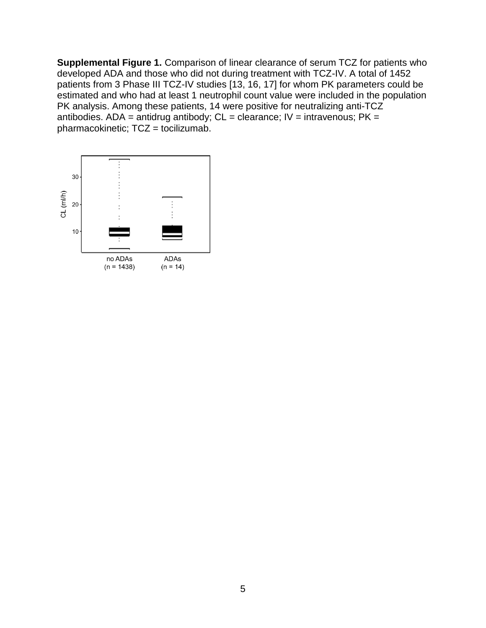**Supplemental Figure 1.** Comparison of linear clearance of serum TCZ for patients who developed ADA and those who did not during treatment with TCZ-IV. A total of 1452 patients from 3 Phase III TCZ-IV studies [13, 16, 17] for whom PK parameters could be estimated and who had at least 1 neutrophil count value were included in the population PK analysis. Among these patients, 14 were positive for neutralizing anti-TCZ antibodies. ADA = antidrug antibody;  $CL =$  clearance;  $IV =$  intravenous;  $PK =$ pharmacokinetic; TCZ = tocilizumab.

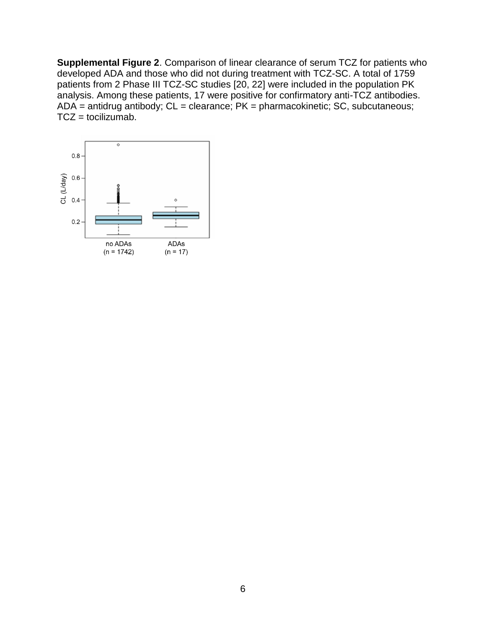**Supplemental Figure 2**. Comparison of linear clearance of serum TCZ for patients who developed ADA and those who did not during treatment with TCZ-SC. A total of 1759 patients from 2 Phase III TCZ-SC studies [20, 22] were included in the population PK analysis. Among these patients, 17 were positive for confirmatory anti-TCZ antibodies.  $ADA =$  antidrug antibody;  $CL =$  clearance;  $PK =$  pharmacokinetic; SC, subcutaneous;  $TCZ =$  tocilizumab.